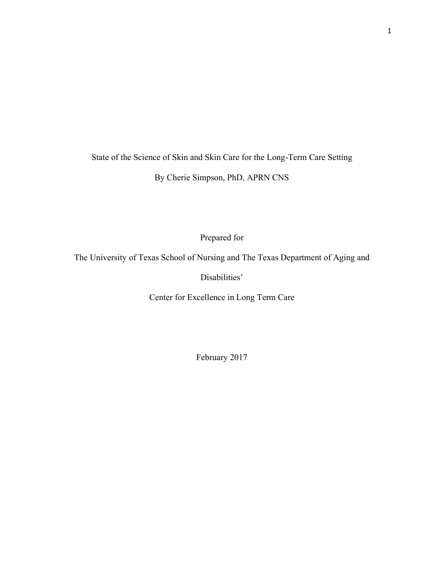# State of the Science of Skin and Skin Care for the Long-Term Care Setting By Cherie Simpson, PhD, APRN CNS

Prepared for

The University of Texas School of Nursing and The Texas Department of Aging and

Disabilities'

Center for Excellence in Long Term Care

February 2017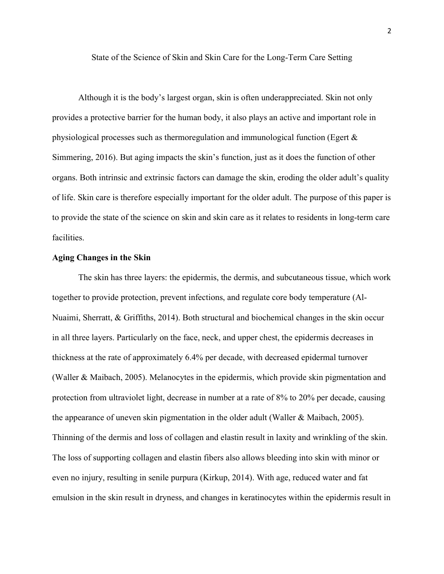State of the Science of Skin and Skin Care for the Long-Term Care Setting

Although it is the body's largest organ, skin is often underappreciated. Skin not only provides a protective barrier for the human body, it also plays an active and important role in physiological processes such as thermoregulation and immunological function (Egert & Simmering, 2016). But aging impacts the skin's function, just as it does the function of other organs. Both intrinsic and extrinsic factors can damage the skin, eroding the older adult's quality of life. Skin care is therefore especially important for the older adult. The purpose of this paper is to provide the state of the science on skin and skin care as it relates to residents in long-term care facilities.

## **Aging Changes in the Skin**

The skin has three layers: the epidermis, the dermis, and subcutaneous tissue, which work together to provide protection, prevent infections, and regulate core body temperature (Al-Nuaimi, Sherratt, & Griffiths, 2014). Both structural and biochemical changes in the skin occur in all three layers. Particularly on the face, neck, and upper chest, the epidermis decreases in thickness at the rate of approximately 6.4% per decade, with decreased epidermal turnover (Waller & Maibach, 2005). Melanocytes in the epidermis, which provide skin pigmentation and protection from ultraviolet light, decrease in number at a rate of 8% to 20% per decade, causing the appearance of uneven skin pigmentation in the older adult (Waller & Maibach, 2005). Thinning of the dermis and loss of collagen and elastin result in laxity and wrinkling of the skin. The loss of supporting collagen and elastin fibers also allows bleeding into skin with minor or even no injury, resulting in senile purpura (Kirkup, 2014). With age, reduced water and fat emulsion in the skin result in dryness, and changes in keratinocytes within the epidermis result in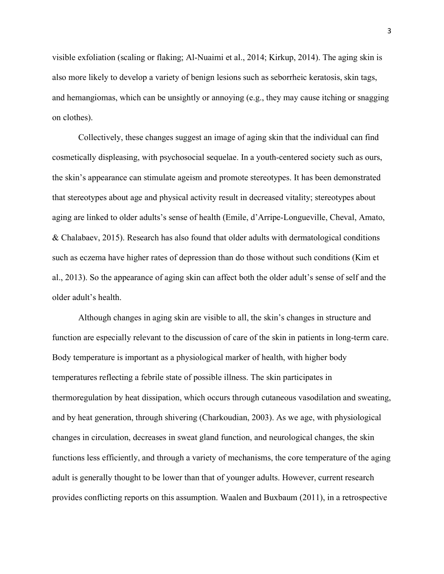visible exfoliation (scaling or flaking; Al-Nuaimi et al., 2014; Kirkup, 2014). The aging skin is also more likely to develop a variety of benign lesions such as seborrheic keratosis, skin tags, and hemangiomas, which can be unsightly or annoying (e.g., they may cause itching or snagging on clothes).

Collectively, these changes suggest an image of aging skin that the individual can find cosmetically displeasing, with psychosocial sequelae. In a youth-centered society such as ours, the skin's appearance can stimulate ageism and promote stereotypes. It has been demonstrated that stereotypes about age and physical activity result in decreased vitality; stereotypes about aging are linked to older adults's sense of health (Emile, d'Arripe-Longueville, Cheval, Amato, & Chalabaev, 2015). Research has also found that older adults with dermatological conditions such as eczema have higher rates of depression than do those without such conditions (Kim et al., 2013). So the appearance of aging skin can affect both the older adult's sense of self and the older adult's health.

Although changes in aging skin are visible to all, the skin's changes in structure and function are especially relevant to the discussion of care of the skin in patients in long-term care. Body temperature is important as a physiological marker of health, with higher body temperatures reflecting a febrile state of possible illness. The skin participates in thermoregulation by heat dissipation, which occurs through cutaneous vasodilation and sweating, and by heat generation, through shivering (Charkoudian, 2003). As we age, with physiological changes in circulation, decreases in sweat gland function, and neurological changes, the skin functions less efficiently, and through a variety of mechanisms, the core temperature of the aging adult is generally thought to be lower than that of younger adults. However, current research provides conflicting reports on this assumption. Waalen and Buxbaum (2011), in a retrospective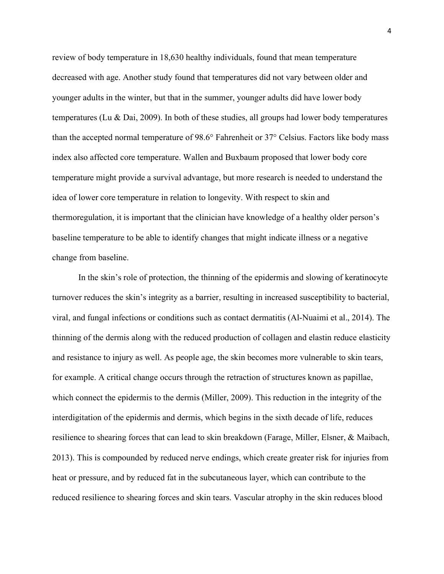review of body temperature in 18,630 healthy individuals, found that mean temperature decreased with age. Another study found that temperatures did not vary between older and younger adults in the winter, but that in the summer, younger adults did have lower body temperatures (Lu & Dai, 2009). In both of these studies, all groups had lower body temperatures than the accepted normal temperature of 98.6° Fahrenheit or 37° Celsius. Factors like body mass index also affected core temperature. Wallen and Buxbaum proposed that lower body core temperature might provide a survival advantage, but more research is needed to understand the idea of lower core temperature in relation to longevity. With respect to skin and thermoregulation, it is important that the clinician have knowledge of a healthy older person's baseline temperature to be able to identify changes that might indicate illness or a negative change from baseline.

In the skin's role of protection, the thinning of the epidermis and slowing of keratinocyte turnover reduces the skin's integrity as a barrier, resulting in increased susceptibility to bacterial, viral, and fungal infections or conditions such as contact dermatitis (Al-Nuaimi et al., 2014). The thinning of the dermis along with the reduced production of collagen and elastin reduce elasticity and resistance to injury as well. As people age, the skin becomes more vulnerable to skin tears, for example. A critical change occurs through the retraction of structures known as papillae, which connect the epidermis to the dermis (Miller, 2009). This reduction in the integrity of the interdigitation of the epidermis and dermis, which begins in the sixth decade of life, reduces resilience to shearing forces that can lead to skin breakdown (Farage, Miller, Elsner, & Maibach, 2013). This is compounded by reduced nerve endings, which create greater risk for injuries from heat or pressure, and by reduced fat in the subcutaneous layer, which can contribute to the reduced resilience to shearing forces and skin tears. Vascular atrophy in the skin reduces blood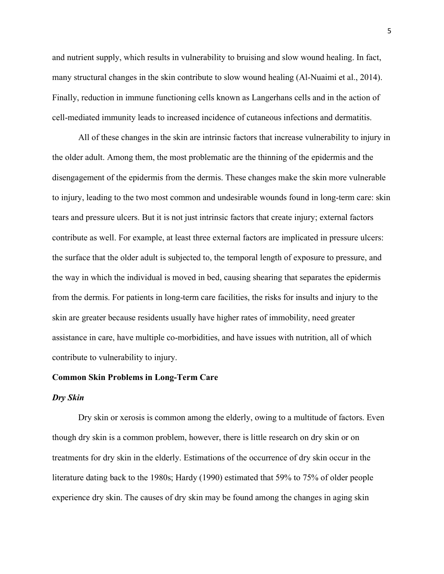and nutrient supply, which results in vulnerability to bruising and slow wound healing. In fact, many structural changes in the skin contribute to slow wound healing (Al-Nuaimi et al., 2014). Finally, reduction in immune functioning cells known as Langerhans cells and in the action of cell-mediated immunity leads to increased incidence of cutaneous infections and dermatitis.

All of these changes in the skin are intrinsic factors that increase vulnerability to injury in the older adult. Among them, the most problematic are the thinning of the epidermis and the disengagement of the epidermis from the dermis. These changes make the skin more vulnerable to injury, leading to the two most common and undesirable wounds found in long-term care: skin tears and pressure ulcers. But it is not just intrinsic factors that create injury; external factors contribute as well. For example, at least three external factors are implicated in pressure ulcers: the surface that the older adult is subjected to, the temporal length of exposure to pressure, and the way in which the individual is moved in bed, causing shearing that separates the epidermis from the dermis. For patients in long-term care facilities, the risks for insults and injury to the skin are greater because residents usually have higher rates of immobility, need greater assistance in care, have multiple co-morbidities, and have issues with nutrition, all of which contribute to vulnerability to injury.

## **Common Skin Problems in Long-Term Care**

#### *Dry Skin*

Dry skin or xerosis is common among the elderly, owing to a multitude of factors. Even though dry skin is a common problem, however, there is little research on dry skin or on treatments for dry skin in the elderly. Estimations of the occurrence of dry skin occur in the literature dating back to the 1980s; Hardy (1990) estimated that 59% to 75% of older people experience dry skin. The causes of dry skin may be found among the changes in aging skin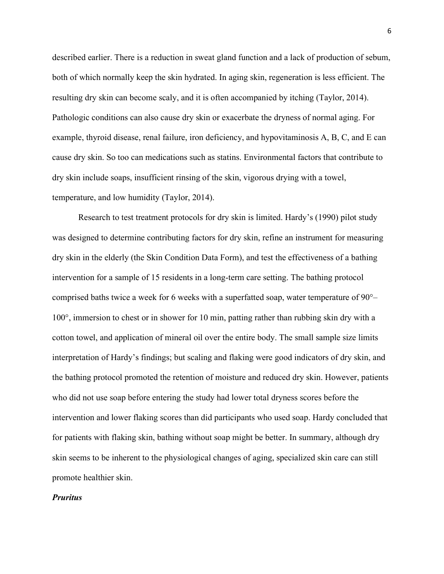described earlier. There is a reduction in sweat gland function and a lack of production of sebum, both of which normally keep the skin hydrated. In aging skin, regeneration is less efficient. The resulting dry skin can become scaly, and it is often accompanied by itching (Taylor, 2014). Pathologic conditions can also cause dry skin or exacerbate the dryness of normal aging. For example, thyroid disease, renal failure, iron deficiency, and hypovitaminosis A, B, C, and E can cause dry skin. So too can medications such as statins. Environmental factors that contribute to dry skin include soaps, insufficient rinsing of the skin, vigorous drying with a towel, temperature, and low humidity (Taylor, 2014).

Research to test treatment protocols for dry skin is limited. Hardy's (1990) pilot study was designed to determine contributing factors for dry skin, refine an instrument for measuring dry skin in the elderly (the Skin Condition Data Form), and test the effectiveness of a bathing intervention for a sample of 15 residents in a long-term care setting. The bathing protocol comprised baths twice a week for 6 weeks with a superfatted soap, water temperature of 90°– 100°, immersion to chest or in shower for 10 min, patting rather than rubbing skin dry with a cotton towel, and application of mineral oil over the entire body. The small sample size limits interpretation of Hardy's findings; but scaling and flaking were good indicators of dry skin, and the bathing protocol promoted the retention of moisture and reduced dry skin. However, patients who did not use soap before entering the study had lower total dryness scores before the intervention and lower flaking scores than did participants who used soap. Hardy concluded that for patients with flaking skin, bathing without soap might be better. In summary, although dry skin seems to be inherent to the physiological changes of aging, specialized skin care can still promote healthier skin.

## *Pruritus*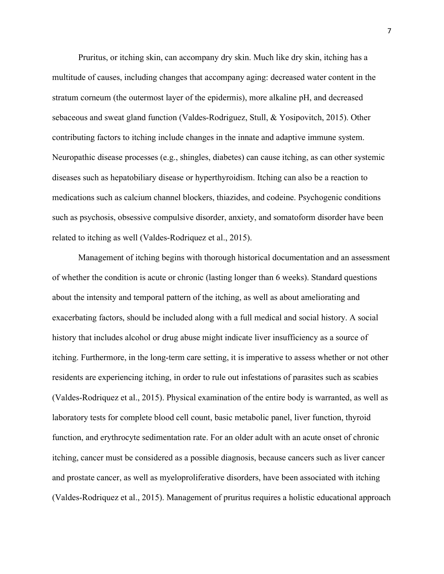Pruritus, or itching skin, can accompany dry skin. Much like dry skin, itching has a multitude of causes, including changes that accompany aging: decreased water content in the stratum corneum (the outermost layer of the epidermis), more alkaline pH, and decreased sebaceous and sweat gland function (Valdes-Rodriguez, Stull, & Yosipovitch, 2015). Other contributing factors to itching include changes in the innate and adaptive immune system. Neuropathic disease processes (e.g., shingles, diabetes) can cause itching, as can other systemic diseases such as hepatobiliary disease or hyperthyroidism. Itching can also be a reaction to medications such as calcium channel blockers, thiazides, and codeine. Psychogenic conditions such as psychosis, obsessive compulsive disorder, anxiety, and somatoform disorder have been related to itching as well (Valdes-Rodriquez et al., 2015).

Management of itching begins with thorough historical documentation and an assessment of whether the condition is acute or chronic (lasting longer than 6 weeks). Standard questions about the intensity and temporal pattern of the itching, as well as about ameliorating and exacerbating factors, should be included along with a full medical and social history. A social history that includes alcohol or drug abuse might indicate liver insufficiency as a source of itching. Furthermore, in the long-term care setting, it is imperative to assess whether or not other residents are experiencing itching, in order to rule out infestations of parasites such as scabies (Valdes-Rodriquez et al., 2015). Physical examination of the entire body is warranted, as well as laboratory tests for complete blood cell count, basic metabolic panel, liver function, thyroid function, and erythrocyte sedimentation rate. For an older adult with an acute onset of chronic itching, cancer must be considered as a possible diagnosis, because cancers such as liver cancer and prostate cancer, as well as myeloproliferative disorders, have been associated with itching (Valdes-Rodriquez et al., 2015). Management of pruritus requires a holistic educational approach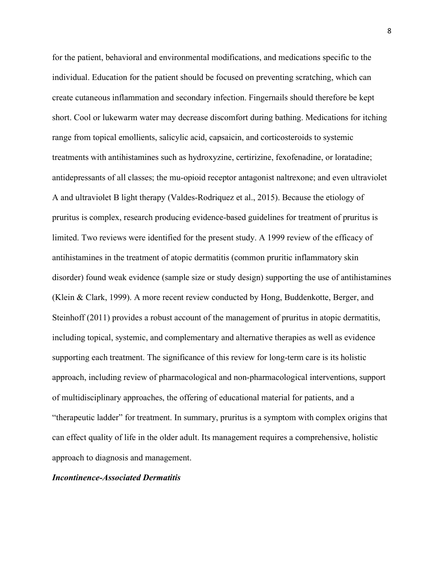for the patient, behavioral and environmental modifications, and medications specific to the individual. Education for the patient should be focused on preventing scratching, which can create cutaneous inflammation and secondary infection. Fingernails should therefore be kept short. Cool or lukewarm water may decrease discomfort during bathing. Medications for itching range from topical emollients, salicylic acid, capsaicin, and corticosteroids to systemic treatments with antihistamines such as hydroxyzine, certirizine, fexofenadine, or loratadine; antidepressants of all classes; the mu-opioid receptor antagonist naltrexone; and even ultraviolet A and ultraviolet B light therapy (Valdes-Rodriquez et al., 2015). Because the etiology of pruritus is complex, research producing evidence-based guidelines for treatment of pruritus is limited. Two reviews were identified for the present study. A 1999 review of the efficacy of antihistamines in the treatment of atopic dermatitis (common pruritic inflammatory skin disorder) found weak evidence (sample size or study design) supporting the use of antihistamines (Klein & Clark, 1999). A more recent review conducted by Hong, Buddenkotte, Berger, and Steinhoff (2011) provides a robust account of the management of pruritus in atopic dermatitis, including topical, systemic, and complementary and alternative therapies as well as evidence supporting each treatment. The significance of this review for long-term care is its holistic approach, including review of pharmacological and non-pharmacological interventions, support of multidisciplinary approaches, the offering of educational material for patients, and a "therapeutic ladder" for treatment. In summary, pruritus is a symptom with complex origins that can effect quality of life in the older adult. Its management requires a comprehensive, holistic approach to diagnosis and management.

## *Incontinence-Associated Dermatitis*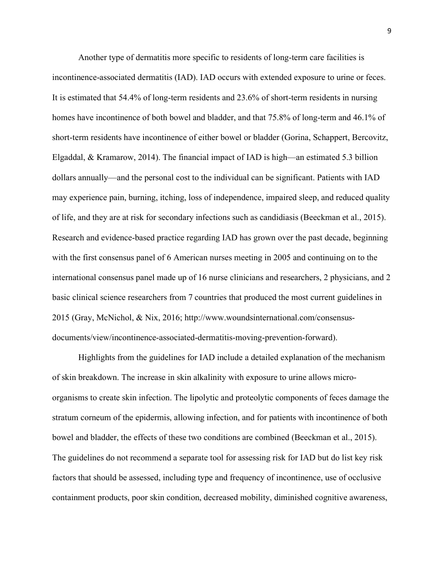Another type of dermatitis more specific to residents of long-term care facilities is incontinence-associated dermatitis (IAD). IAD occurs with extended exposure to urine or feces. It is estimated that 54.4% of long-term residents and 23.6% of short-term residents in nursing homes have incontinence of both bowel and bladder, and that 75.8% of long-term and 46.1% of short-term residents have incontinence of either bowel or bladder (Gorina, Schappert, Bercovitz, Elgaddal, & Kramarow, 2014). The financial impact of IAD is high—an estimated 5.3 billion dollars annually—and the personal cost to the individual can be significant. Patients with IAD may experience pain, burning, itching, loss of independence, impaired sleep, and reduced quality of life, and they are at risk for secondary infections such as candidiasis (Beeckman et al., 2015). Research and evidence-based practice regarding IAD has grown over the past decade, beginning with the first consensus panel of 6 American nurses meeting in 2005 and continuing on to the international consensus panel made up of 16 nurse clinicians and researchers, 2 physicians, and 2 basic clinical science researchers from 7 countries that produced the most current guidelines in 2015 (Gray, McNichol, & Nix, 2016; http://www.woundsinternational.com/consensusdocuments/view/incontinence-associated-dermatitis-moving-prevention-forward).

Highlights from the guidelines for IAD include a detailed explanation of the mechanism of skin breakdown. The increase in skin alkalinity with exposure to urine allows microorganisms to create skin infection. The lipolytic and proteolytic components of feces damage the stratum corneum of the epidermis, allowing infection, and for patients with incontinence of both bowel and bladder, the effects of these two conditions are combined (Beeckman et al., 2015). The guidelines do not recommend a separate tool for assessing risk for IAD but do list key risk factors that should be assessed, including type and frequency of incontinence, use of occlusive containment products, poor skin condition, decreased mobility, diminished cognitive awareness,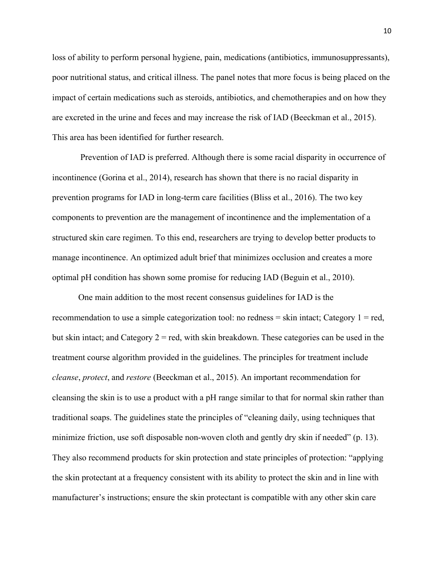loss of ability to perform personal hygiene, pain, medications (antibiotics, immunosuppressants), poor nutritional status, and critical illness. The panel notes that more focus is being placed on the impact of certain medications such as steroids, antibiotics, and chemotherapies and on how they are excreted in the urine and feces and may increase the risk of IAD (Beeckman et al., 2015). This area has been identified for further research.

Prevention of IAD is preferred. Although there is some racial disparity in occurrence of incontinence (Gorina et al., 2014), research has shown that there is no racial disparity in prevention programs for IAD in long-term care facilities (Bliss et al., 2016). The two key components to prevention are the management of incontinence and the implementation of a structured skin care regimen. To this end, researchers are trying to develop better products to manage incontinence. An optimized adult brief that minimizes occlusion and creates a more optimal pH condition has shown some promise for reducing IAD (Beguin et al., 2010).

One main addition to the most recent consensus guidelines for IAD is the recommendation to use a simple categorization tool: no redness  $=$  skin intact; Category 1  $=$  red, but skin intact; and Category  $2 =$  red, with skin breakdown. These categories can be used in the treatment course algorithm provided in the guidelines. The principles for treatment include *cleanse*, *protect*, and *restore* (Beeckman et al., 2015). An important recommendation for cleansing the skin is to use a product with a pH range similar to that for normal skin rather than traditional soaps. The guidelines state the principles of "cleaning daily, using techniques that minimize friction, use soft disposable non-woven cloth and gently dry skin if needed" (p. 13). They also recommend products for skin protection and state principles of protection: "applying the skin protectant at a frequency consistent with its ability to protect the skin and in line with manufacturer's instructions; ensure the skin protectant is compatible with any other skin care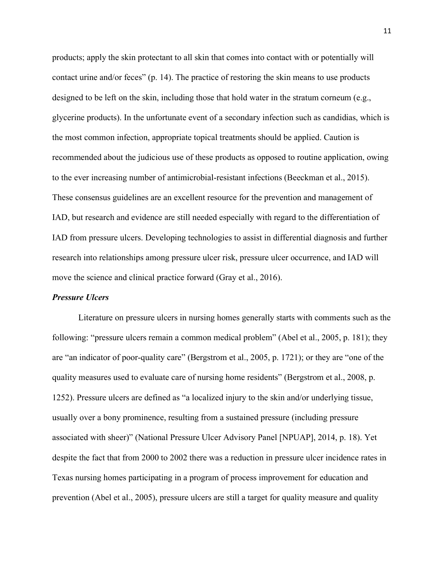products; apply the skin protectant to all skin that comes into contact with or potentially will contact urine and/or feces" (p. 14). The practice of restoring the skin means to use products designed to be left on the skin, including those that hold water in the stratum corneum (e.g., glycerine products). In the unfortunate event of a secondary infection such as candidias, which is the most common infection, appropriate topical treatments should be applied. Caution is recommended about the judicious use of these products as opposed to routine application, owing to the ever increasing number of antimicrobial-resistant infections (Beeckman et al., 2015). These consensus guidelines are an excellent resource for the prevention and management of IAD, but research and evidence are still needed especially with regard to the differentiation of IAD from pressure ulcers. Developing technologies to assist in differential diagnosis and further research into relationships among pressure ulcer risk, pressure ulcer occurrence, and IAD will move the science and clinical practice forward (Gray et al., 2016).

## *Pressure Ulcers*

Literature on pressure ulcers in nursing homes generally starts with comments such as the following: "pressure ulcers remain a common medical problem" (Abel et al., 2005, p. 181); they are "an indicator of poor-quality care" (Bergstrom et al., 2005, p. 1721); or they are "one of the quality measures used to evaluate care of nursing home residents" (Bergstrom et al., 2008, p. 1252). Pressure ulcers are defined as "a localized injury to the skin and/or underlying tissue, usually over a bony prominence, resulting from a sustained pressure (including pressure associated with sheer)" (National Pressure Ulcer Advisory Panel [NPUAP], 2014, p. 18). Yet despite the fact that from 2000 to 2002 there was a reduction in pressure ulcer incidence rates in Texas nursing homes participating in a program of process improvement for education and prevention (Abel et al., 2005), pressure ulcers are still a target for quality measure and quality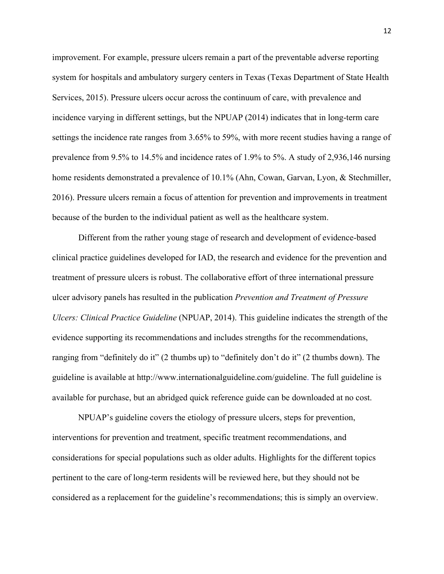improvement. For example, pressure ulcers remain a part of the preventable adverse reporting system for hospitals and ambulatory surgery centers in Texas (Texas Department of State Health Services, 2015). Pressure ulcers occur across the continuum of care, with prevalence and incidence varying in different settings, but the NPUAP (2014) indicates that in long-term care settings the incidence rate ranges from 3.65% to 59%, with more recent studies having a range of prevalence from 9.5% to 14.5% and incidence rates of 1.9% to 5%. A study of 2,936,146 nursing home residents demonstrated a prevalence of 10.1% (Ahn, Cowan, Garvan, Lyon, & Stechmiller, 2016). Pressure ulcers remain a focus of attention for prevention and improvements in treatment because of the burden to the individual patient as well as the healthcare system.

Different from the rather young stage of research and development of evidence-based clinical practice guidelines developed for IAD, the research and evidence for the prevention and treatment of pressure ulcers is robust. The collaborative effort of three international pressure ulcer advisory panels has resulted in the publication *Prevention and Treatment of Pressure Ulcers: Clinical Practice Guideline* (NPUAP, 2014). This guideline indicates the strength of the evidence supporting its recommendations and includes strengths for the recommendations, ranging from "definitely do it" (2 thumbs up) to "definitely don't do it" (2 thumbs down). The guideline is available at http://www.internationalguideline.com/guideline. The full guideline is available for purchase, but an abridged quick reference guide can be downloaded at no cost.

NPUAP's guideline covers the etiology of pressure ulcers, steps for prevention, interventions for prevention and treatment, specific treatment recommendations, and considerations for special populations such as older adults. Highlights for the different topics pertinent to the care of long-term residents will be reviewed here, but they should not be considered as a replacement for the guideline's recommendations; this is simply an overview.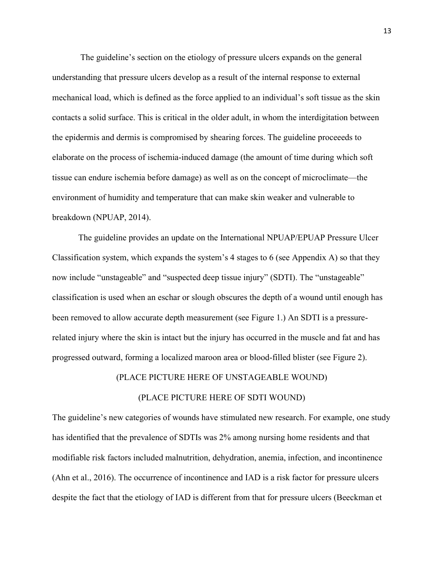The guideline's section on the etiology of pressure ulcers expands on the general understanding that pressure ulcers develop as a result of the internal response to external mechanical load, which is defined as the force applied to an individual's soft tissue as the skin contacts a solid surface. This is critical in the older adult, in whom the interdigitation between the epidermis and dermis is compromised by shearing forces. The guideline proceeeds to elaborate on the process of ischemia-induced damage (the amount of time during which soft tissue can endure ischemia before damage) as well as on the concept of microclimate—the environment of humidity and temperature that can make skin weaker and vulnerable to breakdown (NPUAP, 2014).

The guideline provides an update on the International NPUAP/EPUAP Pressure Ulcer Classification system, which expands the system's 4 stages to 6 (see Appendix A) so that they now include "unstageable" and "suspected deep tissue injury" (SDTI). The "unstageable" classification is used when an eschar or slough obscures the depth of a wound until enough has been removed to allow accurate depth measurement (see Figure 1.) An SDTI is a pressurerelated injury where the skin is intact but the injury has occurred in the muscle and fat and has progressed outward, forming a localized maroon area or blood-filled blister (see Figure 2).

### (PLACE PICTURE HERE OF UNSTAGEABLE WOUND)

## (PLACE PICTURE HERE OF SDTI WOUND)

The guideline's new categories of wounds have stimulated new research. For example, one study has identified that the prevalence of SDTIs was 2% among nursing home residents and that modifiable risk factors included malnutrition, dehydration, anemia, infection, and incontinence (Ahn et al., 2016). The occurrence of incontinence and IAD is a risk factor for pressure ulcers despite the fact that the etiology of IAD is different from that for pressure ulcers (Beeckman et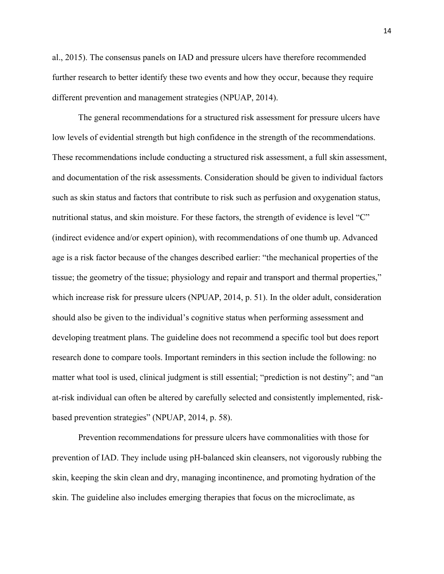al., 2015). The consensus panels on IAD and pressure ulcers have therefore recommended further research to better identify these two events and how they occur, because they require different prevention and management strategies (NPUAP, 2014).

The general recommendations for a structured risk assessment for pressure ulcers have low levels of evidential strength but high confidence in the strength of the recommendations. These recommendations include conducting a structured risk assessment, a full skin assessment, and documentation of the risk assessments. Consideration should be given to individual factors such as skin status and factors that contribute to risk such as perfusion and oxygenation status, nutritional status, and skin moisture. For these factors, the strength of evidence is level "C" (indirect evidence and/or expert opinion), with recommendations of one thumb up. Advanced age is a risk factor because of the changes described earlier: "the mechanical properties of the tissue; the geometry of the tissue; physiology and repair and transport and thermal properties," which increase risk for pressure ulcers (NPUAP, 2014, p. 51). In the older adult, consideration should also be given to the individual's cognitive status when performing assessment and developing treatment plans. The guideline does not recommend a specific tool but does report research done to compare tools. Important reminders in this section include the following: no matter what tool is used, clinical judgment is still essential; "prediction is not destiny"; and "an at-risk individual can often be altered by carefully selected and consistently implemented, riskbased prevention strategies" (NPUAP, 2014, p. 58).

Prevention recommendations for pressure ulcers have commonalities with those for prevention of IAD. They include using pH-balanced skin cleansers, not vigorously rubbing the skin, keeping the skin clean and dry, managing incontinence, and promoting hydration of the skin. The guideline also includes emerging therapies that focus on the microclimate, as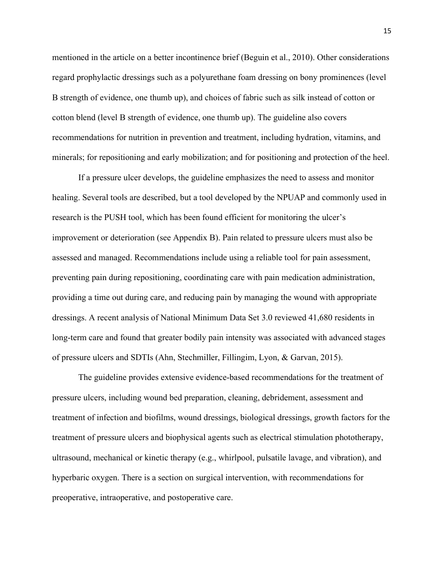mentioned in the article on a better incontinence brief (Beguin et al., 2010). Other considerations regard prophylactic dressings such as a polyurethane foam dressing on bony prominences (level B strength of evidence, one thumb up), and choices of fabric such as silk instead of cotton or cotton blend (level B strength of evidence, one thumb up). The guideline also covers recommendations for nutrition in prevention and treatment, including hydration, vitamins, and minerals; for repositioning and early mobilization; and for positioning and protection of the heel.

If a pressure ulcer develops, the guideline emphasizes the need to assess and monitor healing. Several tools are described, but a tool developed by the NPUAP and commonly used in research is the PUSH tool, which has been found efficient for monitoring the ulcer's improvement or deterioration (see Appendix B). Pain related to pressure ulcers must also be assessed and managed. Recommendations include using a reliable tool for pain assessment, preventing pain during repositioning, coordinating care with pain medication administration, providing a time out during care, and reducing pain by managing the wound with appropriate dressings. A recent analysis of National Minimum Data Set 3.0 reviewed 41,680 residents in long-term care and found that greater bodily pain intensity was associated with advanced stages of pressure ulcers and SDTIs (Ahn, Stechmiller, Fillingim, Lyon, & Garvan, 2015).

The guideline provides extensive evidence-based recommendations for the treatment of pressure ulcers, including wound bed preparation, cleaning, debridement, assessment and treatment of infection and biofilms, wound dressings, biological dressings, growth factors for the treatment of pressure ulcers and biophysical agents such as electrical stimulation phototherapy, ultrasound, mechanical or kinetic therapy (e.g., whirlpool, pulsatile lavage, and vibration), and hyperbaric oxygen. There is a section on surgical intervention, with recommendations for preoperative, intraoperative, and postoperative care.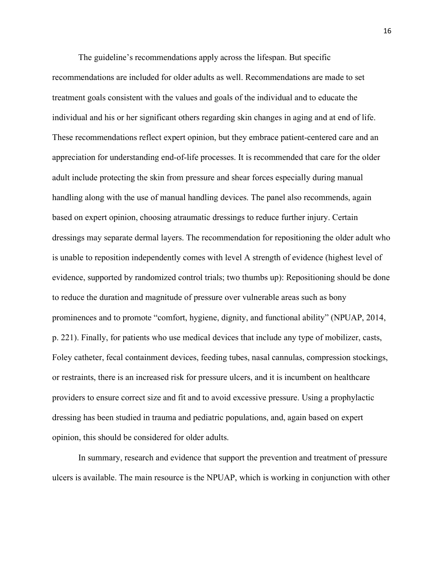The guideline's recommendations apply across the lifespan. But specific recommendations are included for older adults as well. Recommendations are made to set treatment goals consistent with the values and goals of the individual and to educate the individual and his or her significant others regarding skin changes in aging and at end of life. These recommendations reflect expert opinion, but they embrace patient-centered care and an appreciation for understanding end-of-life processes. It is recommended that care for the older adult include protecting the skin from pressure and shear forces especially during manual handling along with the use of manual handling devices. The panel also recommends, again based on expert opinion, choosing atraumatic dressings to reduce further injury. Certain dressings may separate dermal layers. The recommendation for repositioning the older adult who is unable to reposition independently comes with level A strength of evidence (highest level of evidence, supported by randomized control trials; two thumbs up): Repositioning should be done to reduce the duration and magnitude of pressure over vulnerable areas such as bony prominences and to promote "comfort, hygiene, dignity, and functional ability" (NPUAP, 2014, p. 221). Finally, for patients who use medical devices that include any type of mobilizer, casts, Foley catheter, fecal containment devices, feeding tubes, nasal cannulas, compression stockings, or restraints, there is an increased risk for pressure ulcers, and it is incumbent on healthcare providers to ensure correct size and fit and to avoid excessive pressure. Using a prophylactic dressing has been studied in trauma and pediatric populations, and, again based on expert opinion, this should be considered for older adults.

In summary, research and evidence that support the prevention and treatment of pressure ulcers is available. The main resource is the NPUAP, which is working in conjunction with other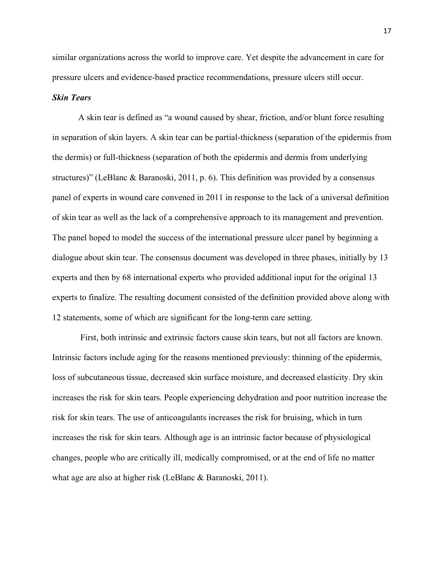similar organizations across the world to improve care. Yet despite the advancement in care for pressure ulcers and evidence-based practice recommendations, pressure ulcers still occur.

### *Skin Tears*

A skin tear is defined as "a wound caused by shear, friction, and/or blunt force resulting in separation of skin layers. A skin tear can be partial-thickness (separation of the epidermis from the dermis) or full-thickness (separation of both the epidermis and dermis from underlying structures)" (LeBlanc & Baranoski, 2011, p. 6). This definition was provided by a consensus panel of experts in wound care convened in 2011 in response to the lack of a universal definition of skin tear as well as the lack of a comprehensive approach to its management and prevention. The panel hoped to model the success of the international pressure ulcer panel by beginning a dialogue about skin tear. The consensus document was developed in three phases, initially by 13 experts and then by 68 international experts who provided additional input for the original 13 experts to finalize. The resulting document consisted of the definition provided above along with 12 statements, some of which are significant for the long-term care setting.

First, both intrinsic and extrinsic factors cause skin tears, but not all factors are known. Intrinsic factors include aging for the reasons mentioned previously: thinning of the epidermis, loss of subcutaneous tissue, decreased skin surface moisture, and decreased elasticity. Dry skin increases the risk for skin tears. People experiencing dehydration and poor nutrition increase the risk for skin tears. The use of anticoagulants increases the risk for bruising, which in turn increases the risk for skin tears. Although age is an intrinsic factor because of physiological changes, people who are critically ill, medically compromised, or at the end of life no matter what age are also at higher risk (LeBlanc & Baranoski, 2011).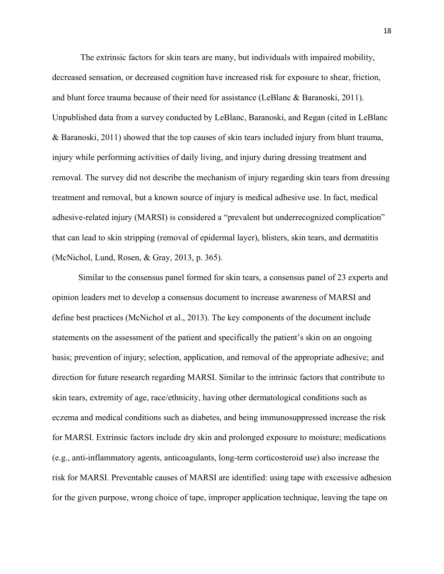The extrinsic factors for skin tears are many, but individuals with impaired mobility, decreased sensation, or decreased cognition have increased risk for exposure to shear, friction, and blunt force trauma because of their need for assistance (LeBlanc & Baranoski, 2011). Unpublished data from a survey conducted by LeBlanc, Baranoski, and Regan (cited in LeBlanc & Baranoski, 2011) showed that the top causes of skin tears included injury from blunt trauma, injury while performing activities of daily living, and injury during dressing treatment and removal. The survey did not describe the mechanism of injury regarding skin tears from dressing treatment and removal, but a known source of injury is medical adhesive use. In fact, medical adhesive-related injury (MARSI) is considered a "prevalent but underrecognized complication" that can lead to skin stripping (removal of epidermal layer), blisters, skin tears, and dermatitis (McNichol, Lund, Rosen, & Gray, 2013, p. 365).

Similar to the consensus panel formed for skin tears, a consensus panel of 23 experts and opinion leaders met to develop a consensus document to increase awareness of MARSI and define best practices (McNichol et al., 2013). The key components of the document include statements on the assessment of the patient and specifically the patient's skin on an ongoing basis; prevention of injury; selection, application, and removal of the appropriate adhesive; and direction for future research regarding MARSI. Similar to the intrinsic factors that contribute to skin tears, extremity of age, race/ethnicity, having other dermatological conditions such as eczema and medical conditions such as diabetes, and being immunosuppressed increase the risk for MARSI. Extrinsic factors include dry skin and prolonged exposure to moisture; medications (e.g., anti-inflammatory agents, anticoagulants, long-term corticosteroid use) also increase the risk for MARSI. Preventable causes of MARSI are identified: using tape with excessive adhesion for the given purpose, wrong choice of tape, improper application technique, leaving the tape on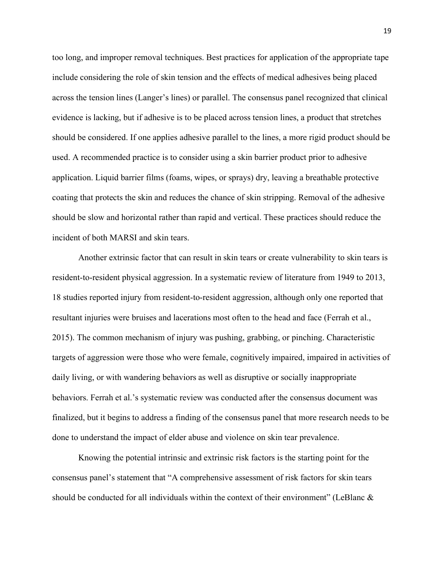too long, and improper removal techniques. Best practices for application of the appropriate tape include considering the role of skin tension and the effects of medical adhesives being placed across the tension lines (Langer's lines) or parallel. The consensus panel recognized that clinical evidence is lacking, but if adhesive is to be placed across tension lines, a product that stretches should be considered. If one applies adhesive parallel to the lines, a more rigid product should be used. A recommended practice is to consider using a skin barrier product prior to adhesive application. Liquid barrier films (foams, wipes, or sprays) dry, leaving a breathable protective coating that protects the skin and reduces the chance of skin stripping. Removal of the adhesive should be slow and horizontal rather than rapid and vertical. These practices should reduce the incident of both MARSI and skin tears.

Another extrinsic factor that can result in skin tears or create vulnerability to skin tears is resident-to-resident physical aggression. In a systematic review of literature from 1949 to 2013, 18 studies reported injury from resident-to-resident aggression, although only one reported that resultant injuries were bruises and lacerations most often to the head and face (Ferrah et al., 2015). The common mechanism of injury was pushing, grabbing, or pinching. Characteristic targets of aggression were those who were female, cognitively impaired, impaired in activities of daily living, or with wandering behaviors as well as disruptive or socially inappropriate behaviors. Ferrah et al.'s systematic review was conducted after the consensus document was finalized, but it begins to address a finding of the consensus panel that more research needs to be done to understand the impact of elder abuse and violence on skin tear prevalence.

Knowing the potential intrinsic and extrinsic risk factors is the starting point for the consensus panel's statement that "A comprehensive assessment of risk factors for skin tears should be conducted for all individuals within the context of their environment" (LeBlanc &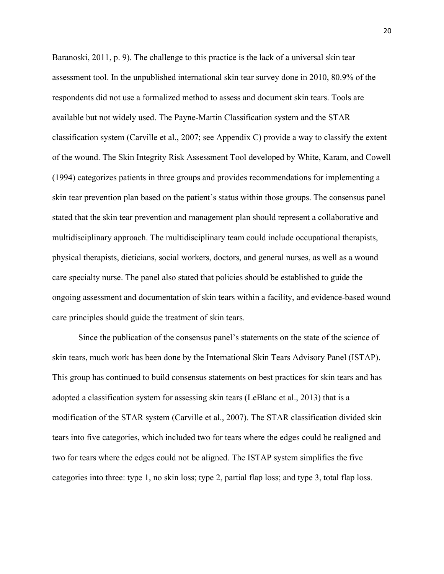Baranoski, 2011, p. 9). The challenge to this practice is the lack of a universal skin tear assessment tool. In the unpublished international skin tear survey done in 2010, 80.9% of the respondents did not use a formalized method to assess and document skin tears. Tools are available but not widely used. The Payne-Martin Classification system and the STAR classification system (Carville et al., 2007; see Appendix C) provide a way to classify the extent of the wound. The Skin Integrity Risk Assessment Tool developed by White, Karam, and Cowell (1994) categorizes patients in three groups and provides recommendations for implementing a skin tear prevention plan based on the patient's status within those groups. The consensus panel stated that the skin tear prevention and management plan should represent a collaborative and multidisciplinary approach. The multidisciplinary team could include occupational therapists, physical therapists, dieticians, social workers, doctors, and general nurses, as well as a wound care specialty nurse. The panel also stated that policies should be established to guide the ongoing assessment and documentation of skin tears within a facility, and evidence-based wound care principles should guide the treatment of skin tears.

Since the publication of the consensus panel's statements on the state of the science of skin tears, much work has been done by the International Skin Tears Advisory Panel (ISTAP). This group has continued to build consensus statements on best practices for skin tears and has adopted a classification system for assessing skin tears (LeBlanc et al., 2013) that is a modification of the STAR system (Carville et al., 2007). The STAR classification divided skin tears into five categories, which included two for tears where the edges could be realigned and two for tears where the edges could not be aligned. The ISTAP system simplifies the five categories into three: type 1, no skin loss; type 2, partial flap loss; and type 3, total flap loss.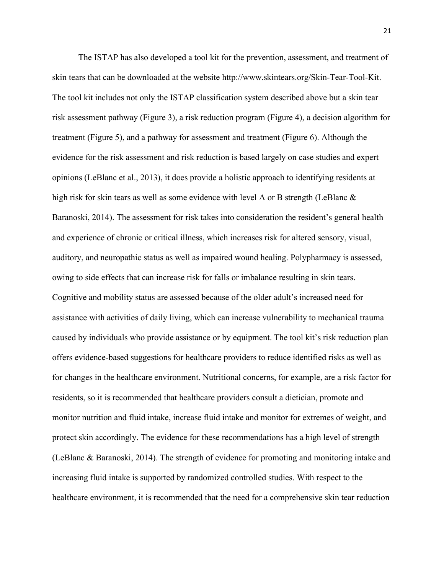The ISTAP has also developed a tool kit for the prevention, assessment, and treatment of skin tears that can be downloaded at the website http://www.skintears.org/Skin-Tear-Tool-Kit. The tool kit includes not only the ISTAP classification system described above but a skin tear risk assessment pathway (Figure 3), a risk reduction program (Figure 4), a decision algorithm for treatment (Figure 5), and a pathway for assessment and treatment (Figure 6). Although the evidence for the risk assessment and risk reduction is based largely on case studies and expert opinions (LeBlanc et al., 2013), it does provide a holistic approach to identifying residents at high risk for skin tears as well as some evidence with level A or B strength (LeBlanc & Baranoski, 2014). The assessment for risk takes into consideration the resident's general health and experience of chronic or critical illness, which increases risk for altered sensory, visual, auditory, and neuropathic status as well as impaired wound healing. Polypharmacy is assessed, owing to side effects that can increase risk for falls or imbalance resulting in skin tears. Cognitive and mobility status are assessed because of the older adult's increased need for assistance with activities of daily living, which can increase vulnerability to mechanical trauma caused by individuals who provide assistance or by equipment. The tool kit's risk reduction plan offers evidence-based suggestions for healthcare providers to reduce identified risks as well as for changes in the healthcare environment. Nutritional concerns, for example, are a risk factor for residents, so it is recommended that healthcare providers consult a dietician, promote and monitor nutrition and fluid intake, increase fluid intake and monitor for extremes of weight, and protect skin accordingly. The evidence for these recommendations has a high level of strength (LeBlanc & Baranoski, 2014). The strength of evidence for promoting and monitoring intake and increasing fluid intake is supported by randomized controlled studies. With respect to the healthcare environment, it is recommended that the need for a comprehensive skin tear reduction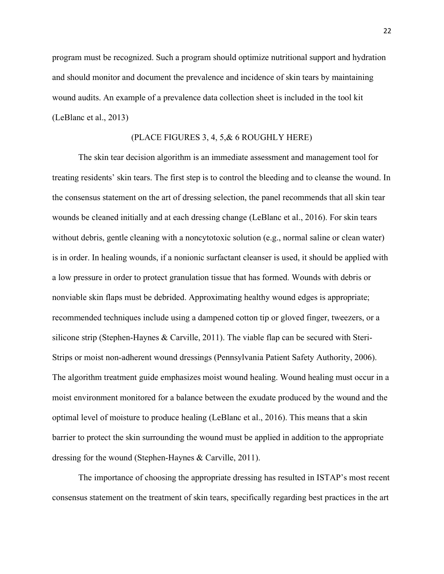program must be recognized. Such a program should optimize nutritional support and hydration and should monitor and document the prevalence and incidence of skin tears by maintaining wound audits. An example of a prevalence data collection sheet is included in the tool kit (LeBlanc et al., 2013)

## (PLACE FIGURES 3, 4, 5,& 6 ROUGHLY HERE)

The skin tear decision algorithm is an immediate assessment and management tool for treating residents' skin tears. The first step is to control the bleeding and to cleanse the wound. In the consensus statement on the art of dressing selection, the panel recommends that all skin tear wounds be cleaned initially and at each dressing change (LeBlanc et al., 2016). For skin tears without debris, gentle cleaning with a noncytotoxic solution (e.g., normal saline or clean water) is in order. In healing wounds, if a nonionic surfactant cleanser is used, it should be applied with a low pressure in order to protect granulation tissue that has formed. Wounds with debris or nonviable skin flaps must be debrided. Approximating healthy wound edges is appropriate; recommended techniques include using a dampened cotton tip or gloved finger, tweezers, or a silicone strip (Stephen-Haynes & Carville, 2011). The viable flap can be secured with Steri-Strips or moist non-adherent wound dressings (Pennsylvania Patient Safety Authority, 2006). The algorithm treatment guide emphasizes moist wound healing. Wound healing must occur in a moist environment monitored for a balance between the exudate produced by the wound and the optimal level of moisture to produce healing (LeBlanc et al., 2016). This means that a skin barrier to protect the skin surrounding the wound must be applied in addition to the appropriate dressing for the wound (Stephen-Haynes & Carville, 2011).

The importance of choosing the appropriate dressing has resulted in ISTAP's most recent consensus statement on the treatment of skin tears, specifically regarding best practices in the art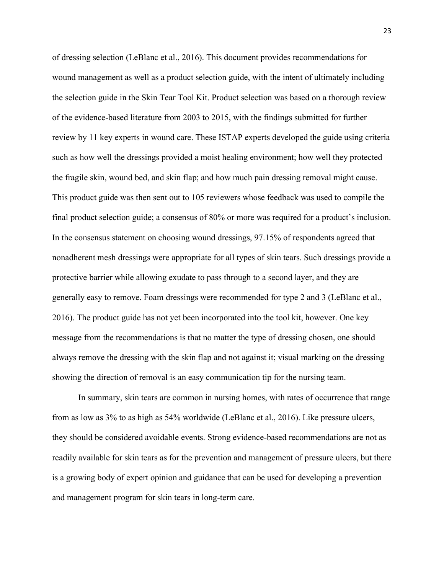of dressing selection (LeBlanc et al., 2016). This document provides recommendations for wound management as well as a product selection guide, with the intent of ultimately including the selection guide in the Skin Tear Tool Kit. Product selection was based on a thorough review of the evidence-based literature from 2003 to 2015, with the findings submitted for further review by 11 key experts in wound care. These ISTAP experts developed the guide using criteria such as how well the dressings provided a moist healing environment; how well they protected the fragile skin, wound bed, and skin flap; and how much pain dressing removal might cause. This product guide was then sent out to 105 reviewers whose feedback was used to compile the final product selection guide; a consensus of 80% or more was required for a product's inclusion. In the consensus statement on choosing wound dressings, 97.15% of respondents agreed that nonadherent mesh dressings were appropriate for all types of skin tears. Such dressings provide a protective barrier while allowing exudate to pass through to a second layer, and they are generally easy to remove. Foam dressings were recommended for type 2 and 3 (LeBlanc et al., 2016). The product guide has not yet been incorporated into the tool kit, however. One key message from the recommendations is that no matter the type of dressing chosen, one should always remove the dressing with the skin flap and not against it; visual marking on the dressing showing the direction of removal is an easy communication tip for the nursing team.

In summary, skin tears are common in nursing homes, with rates of occurrence that range from as low as 3% to as high as 54% worldwide (LeBlanc et al., 2016). Like pressure ulcers, they should be considered avoidable events. Strong evidence-based recommendations are not as readily available for skin tears as for the prevention and management of pressure ulcers, but there is a growing body of expert opinion and guidance that can be used for developing a prevention and management program for skin tears in long-term care.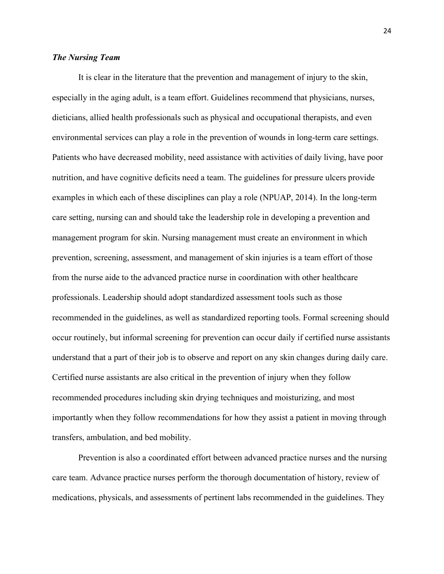# *The Nursing Team*

It is clear in the literature that the prevention and management of injury to the skin, especially in the aging adult, is a team effort. Guidelines recommend that physicians, nurses, dieticians, allied health professionals such as physical and occupational therapists, and even environmental services can play a role in the prevention of wounds in long-term care settings. Patients who have decreased mobility, need assistance with activities of daily living, have poor nutrition, and have cognitive deficits need a team. The guidelines for pressure ulcers provide examples in which each of these disciplines can play a role (NPUAP, 2014). In the long-term care setting, nursing can and should take the leadership role in developing a prevention and management program for skin. Nursing management must create an environment in which prevention, screening, assessment, and management of skin injuries is a team effort of those from the nurse aide to the advanced practice nurse in coordination with other healthcare professionals. Leadership should adopt standardized assessment tools such as those recommended in the guidelines, as well as standardized reporting tools. Formal screening should occur routinely, but informal screening for prevention can occur daily if certified nurse assistants understand that a part of their job is to observe and report on any skin changes during daily care. Certified nurse assistants are also critical in the prevention of injury when they follow recommended procedures including skin drying techniques and moisturizing, and most importantly when they follow recommendations for how they assist a patient in moving through transfers, ambulation, and bed mobility.

Prevention is also a coordinated effort between advanced practice nurses and the nursing care team. Advance practice nurses perform the thorough documentation of history, review of medications, physicals, and assessments of pertinent labs recommended in the guidelines. They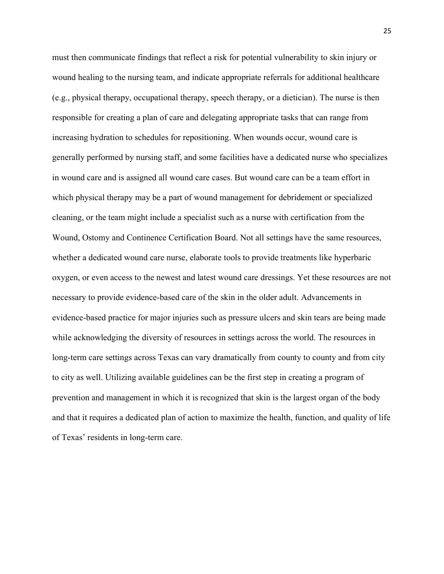must then communicate findings that reflect a risk for potential vulnerability to skin injury or wound healing to the nursing team, and indicate appropriate referrals for additional healthcare (e.g., physical therapy, occupational therapy, speech therapy, or a dietician). The nurse is then responsible for creating a plan of care and delegating appropriate tasks that can range from increasing hydration to schedules for repositioning. When wounds occur, wound care is generally performed by nursing staff, and some facilities have a dedicated nurse who specializes in wound care and is assigned all wound care cases. But wound care can be a team effort in which physical therapy may be a part of wound management for debridement or specialized cleaning, or the team might include a specialist such as a nurse with certification from the Wound, Ostomy and Continence Certification Board. Not all settings have the same resources, whether a dedicated wound care nurse, elaborate tools to provide treatments like hyperbaric oxygen, or even access to the newest and latest wound care dressings. Yet these resources are not necessary to provide evidence-based care of the skin in the older adult. Advancements in evidence-based practice for major injuries such as pressure ulcers and skin tears are being made while acknowledging the diversity of resources in settings across the world. The resources in long-term care settings across Texas can vary dramatically from county to county and from city to city as well. Utilizing available guidelines can be the first step in creating a program of prevention and management in which it is recognized that skin is the largest organ of the body and that it requires a dedicated plan of action to maximize the health, function, and quality of life of Texas' residents in long-term care.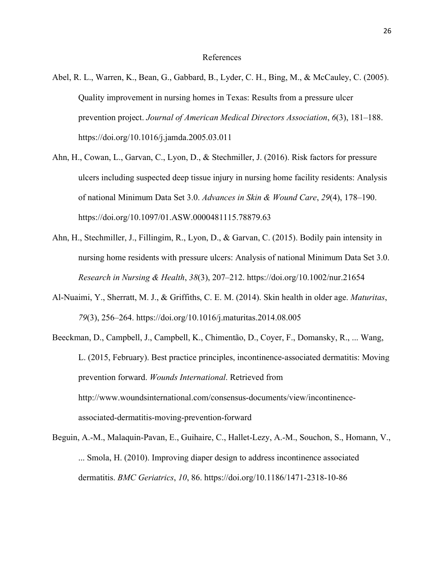#### References

- Abel, R. L., Warren, K., Bean, G., Gabbard, B., Lyder, C. H., Bing, M., & McCauley, C. (2005). Quality improvement in nursing homes in Texas: Results from a pressure ulcer prevention project. *Journal of American Medical Directors Association*, *6*(3), 181–188. https://doi.org/10.1016/j.jamda.2005.03.011
- Ahn, H., Cowan, L., Garvan, C., Lyon, D., & Stechmiller, J. (2016). Risk factors for pressure ulcers including suspected deep tissue injury in nursing home facility residents: Analysis of national Minimum Data Set 3.0. *Advances in Skin & Wound Care*, *29*(4), 178–190. https://doi.org/10.1097/01.ASW.0000481115.78879.63
- Ahn, H., Stechmiller, J., Fillingim, R., Lyon, D., & Garvan, C. (2015). Bodily pain intensity in nursing home residents with pressure ulcers: Analysis of national Minimum Data Set 3.0. *Research in Nursing & Health*, *38*(3), 207–212. https://doi.org/10.1002/nur.21654
- Al-Nuaimi, Y., Sherratt, M. J., & Griffiths, C. E. M. (2014). Skin health in older age. *Maturitas*, *79*(3), 256–264. https://doi.org/10.1016/j.maturitas.2014.08.005
- Beeckman, D., Campbell, J., Campbell, K., Chimentão, D., Coyer, F., Domansky, R., ... Wang, L. (2015, February). Best practice principles, incontinence-associated dermatitis: Moving prevention forward. *Wounds International*. Retrieved from http://www.woundsinternational.com/consensus-documents/view/incontinenceassociated-dermatitis-moving-prevention-forward
- Beguin, A.-M., Malaquin-Pavan, E., Guihaire, C., Hallet-Lezy, A.-M., Souchon, S., Homann, V., ... Smola, H. (2010). Improving diaper design to address incontinence associated dermatitis. *BMC Geriatrics*, *10*, 86. https://doi.org/10.1186/1471-2318-10-86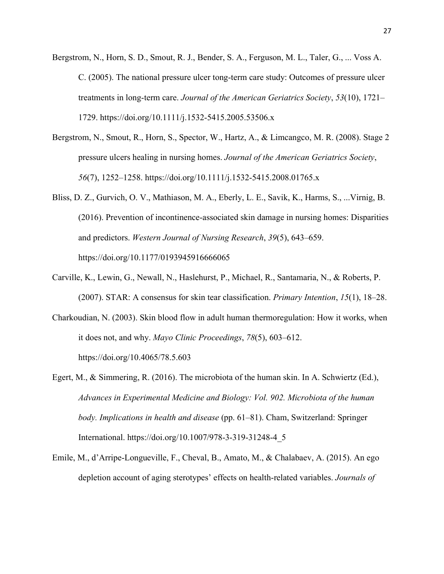- Bergstrom, N., Horn, S. D., Smout, R. J., Bender, S. A., Ferguson, M. L., Taler, G., ... Voss A. C. (2005). The national pressure ulcer tong-term care study: Outcomes of pressure ulcer treatments in long-term care. *Journal of the American Geriatrics Society*, *53*(10), 1721– 1729. https://doi.org/10.1111/j.1532-5415.2005.53506.x
- Bergstrom, N., Smout, R., Horn, S., Spector, W., Hartz, A., & Limcangco, M. R. (2008). Stage 2 pressure ulcers healing in nursing homes. *Journal of the American Geriatrics Society*, *56*(7), 1252–1258. https://doi.org/10.1111/j.1532-5415.2008.01765.x
- Bliss, D. Z., Gurvich, O. V., Mathiason, M. A., Eberly, L. E., Savik, K., Harms, S., ...Virnig, B. (2016). Prevention of incontinence-associated skin damage in nursing homes: Disparities and predictors. *Western Journal of Nursing Research*, *39*(5), 643–659. https://doi.org/10.1177/0193945916666065
- Carville, K., Lewin, G., Newall, N., Haslehurst, P., Michael, R., Santamaria, N., & Roberts, P. (2007). STAR: A consensus for skin tear classification. *Primary Intention*, *15*(1), 18–28.
- Charkoudian, N. (2003). Skin blood flow in adult human thermoregulation: How it works, when it does not, and why. *Mayo Clinic Proceedings*, *78*(5), 603–612. https://doi.org/10.4065/78.5.603
- Egert, M., & Simmering, R. (2016). The microbiota of the human skin. In A. Schwiertz (Ed.), *Advances in Experimental Medicine and Biology: Vol. 902. Microbiota of the human body. Implications in health and disease* (pp. 61–81). Cham, Switzerland: Springer International. https://doi.org/10.1007/978-3-319-31248-4\_5
- Emile, M., d'Arripe-Longueville, F., Cheval, B., Amato, M., & Chalabaev, A. (2015). An ego depletion account of aging sterotypes' effects on health-related variables. *Journals of*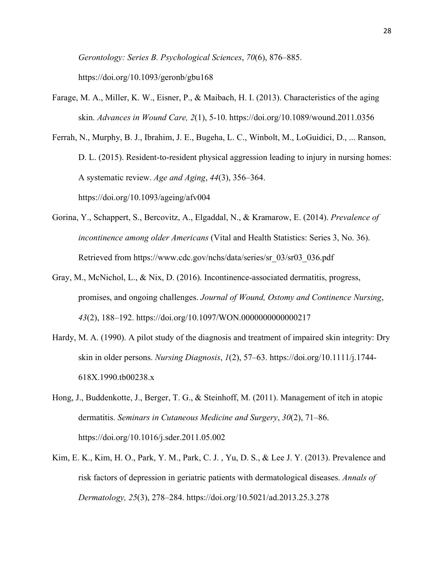*Gerontology: Series B. Psychological Sciences*, *70*(6), 876–885. https://doi.org/10.1093/geronb/gbu168

Farage, M. A., Miller, K. W., Eisner, P., & Maibach, H. I. (2013). Characteristics of the aging skin. *Advances in Wound Care, 2*(1), 5-10. https://doi.org/10.1089/wound.2011.0356

Ferrah, N., Murphy, B. J., Ibrahim, J. E., Bugeha, L. C., Winbolt, M., LoGuidici, D., ... Ranson, D. L. (2015). Resident-to-resident physical aggression leading to injury in nursing homes: A systematic review. *Age and Aging*, *44*(3), 356–364. https://doi.org/10.1093/ageing/afv004

- Gorina, Y., Schappert, S., Bercovitz, A., Elgaddal, N., & Kramarow, E. (2014). *Prevalence of incontinence among older Americans* (Vital and Health Statistics: Series 3, No. 36). Retrieved from https://www.cdc.gov/nchs/data/series/sr\_03/sr03\_036.pdf
- Gray, M., McNichol, L., & Nix, D. (2016). Incontinence-associated dermatitis, progress, promises, and ongoing challenges. *Journal of Wound, Ostomy and Continence Nursing*, *43*(2), 188–192. https://doi.org/10.1097/WON.0000000000000217
- Hardy, M. A. (1990). A pilot study of the diagnosis and treatment of impaired skin integrity: Dry skin in older persons. *Nursing Diagnosis*, *1*(2), 57–63. https://doi.org/10.1111/j.1744- 618X.1990.tb00238.x
- Hong, J., Buddenkotte, J., Berger, T. G., & Steinhoff, M. (2011). Management of itch in atopic dermatitis. *Seminars in Cutaneous Medicine and Surgery*, *30*(2), 71–86. https://doi.org/10.1016/j.sder.2011.05.002
- Kim, E. K., Kim, H. O., Park, Y. M., Park, C. J. , Yu, D. S., & Lee J. Y. (2013). Prevalence and risk factors of depression in geriatric patients with dermatological diseases. *Annals of Dermatology, 25*(3), 278–284. https://doi.org/10.5021/ad.2013.25.3.278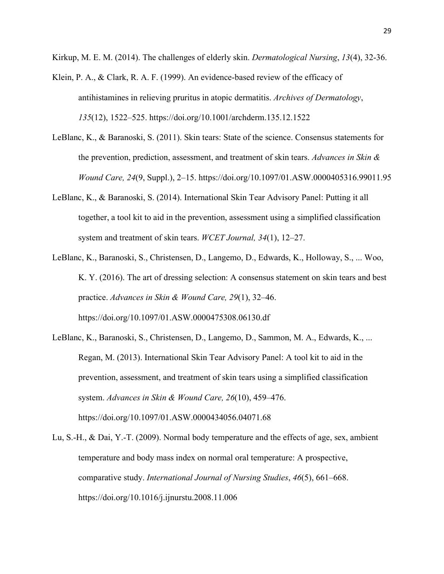Kirkup, M. E. M. (2014). The challenges of elderly skin. *Dermatological Nursing*, *13*(4), 32-36.

- Klein, P. A., & Clark, R. A. F. (1999). An evidence-based review of the efficacy of antihistamines in relieving pruritus in atopic dermatitis. *Archives of Dermatology*, *135*(12), 1522–525. https://doi.org/10.1001/archderm.135.12.1522
- LeBlanc, K., & Baranoski, S. (2011). Skin tears: State of the science. Consensus statements for the prevention, prediction, assessment, and treatment of skin tears. *Advances in Skin & Wound Care, 24*(9, Suppl.), 2–15. https://doi.org/10.1097/01.ASW.0000405316.99011.95
- LeBlanc, K., & Baranoski, S. (2014). International Skin Tear Advisory Panel: Putting it all together, a tool kit to aid in the prevention, assessment using a simplified classification system and treatment of skin tears. *WCET Journal, 34*(1), 12–27.
- LeBlanc, K., Baranoski, S., Christensen, D., Langemo, D., Edwards, K., Holloway, S., ... Woo, K. Y. (2016). The art of dressing selection: A consensus statement on skin tears and best practice. *Advances in Skin & Wound Care, 29*(1), 32–46. https://doi.org/10.1097/01.ASW.0000475308.06130.df
- LeBlanc, K., Baranoski, S., Christensen, D., Langemo, D., Sammon, M. A., Edwards, K., ... Regan, M. (2013). International Skin Tear Advisory Panel: A tool kit to aid in the prevention, assessment, and treatment of skin tears using a simplified classification system. *Advances in Skin & Wound Care, 26*(10), 459–476. https://doi.org/10.1097/01.ASW.0000434056.04071.68
- Lu, S.-H., & Dai, Y.-T. (2009). Normal body temperature and the effects of age, sex, ambient temperature and body mass index on normal oral temperature: A prospective, comparative study. *International Journal of Nursing Studies*, *46*(5), 661–668. https://doi.org/10.1016/j.ijnurstu.2008.11.006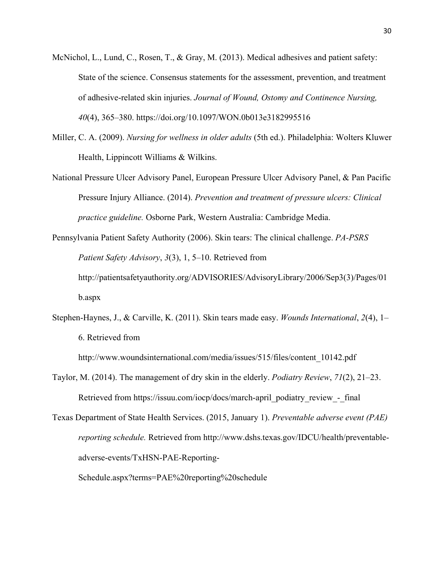- McNichol, L., Lund, C., Rosen, T., & Gray, M. (2013). Medical adhesives and patient safety: State of the science. Consensus statements for the assessment, prevention, and treatment of adhesive-related skin injuries. *Journal of Wound, Ostomy and Continence Nursing, 40*(4), 365–380. https://doi.org/10.1097/WON.0b013e3182995516
- Miller, C. A. (2009). *Nursing for wellness in older adults* (5th ed.). Philadelphia: Wolters Kluwer Health, Lippincott Williams & Wilkins.
- National Pressure Ulcer Advisory Panel, European Pressure Ulcer Advisory Panel, & Pan Pacific Pressure Injury Alliance. (2014). *Prevention and treatment of pressure ulcers: Clinical practice guideline.* Osborne Park, Western Australia: Cambridge Media.
- Pennsylvania Patient Safety Authority (2006). Skin tears: The clinical challenge. *PA-PSRS Patient Safety Advisory*, *3*(3), 1, 5–10. Retrieved from http://patientsafetyauthority.org/ADVISORIES/AdvisoryLibrary/2006/Sep3(3)/Pages/01 b.aspx
- Stephen-Haynes, J., & Carville, K. (2011). Skin tears made easy. *Wounds International*, *2*(4), 1– 6. Retrieved from

http://www.woundsinternational.com/media/issues/515/files/content\_10142.pdf

- Taylor, M. (2014). The management of dry skin in the elderly. *Podiatry Review*, *71*(2), 21–23. Retrieved from https://issuu.com/iocp/docs/march-april\_podiatry\_review\_-\_final\_
- Texas Department of State Health Services. (2015, January 1). *Preventable adverse event (PAE) reporting schedule.* Retrieved from http://www.dshs.texas.gov/IDCU/health/preventableadverse-events/TxHSN-PAE-Reporting-

Schedule.aspx?terms=PAE%20reporting%20schedule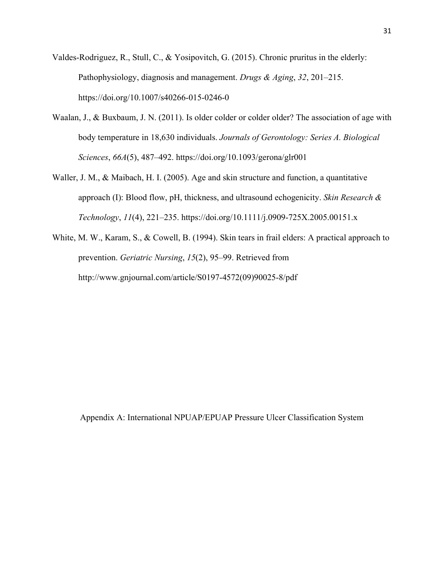- Valdes-Rodriguez, R., Stull, C., & Yosipovitch, G. (2015). Chronic pruritus in the elderly: Pathophysiology, diagnosis and management. *Drugs & Aging*, *32*, 201–215. https://doi.org/10.1007/s40266-015-0246-0
- Waalan, J., & Buxbaum, J. N. (2011). Is older colder or colder older? The association of age with body temperature in 18,630 individuals. *Journals of Gerontology: Series A. Biological Sciences*, *66A*(5), 487–492. https://doi.org/10.1093/gerona/glr001
- Waller, J. M., & Maibach, H. I. (2005). Age and skin structure and function, a quantitative approach (I): Blood flow, pH, thickness, and ultrasound echogenicity. *Skin Research & Technology*, *11*(4), 221–235. https://doi.org/10.1111/j.0909-725X.2005.00151.x
- White, M. W., Karam, S., & Cowell, B. (1994). Skin tears in frail elders: A practical approach to prevention. *Geriatric Nursing*, *15*(2), 95–99. Retrieved from http://www.gnjournal.com/article/S0197-4572(09)90025-8/pdf

Appendix A: International NPUAP/EPUAP Pressure Ulcer Classification System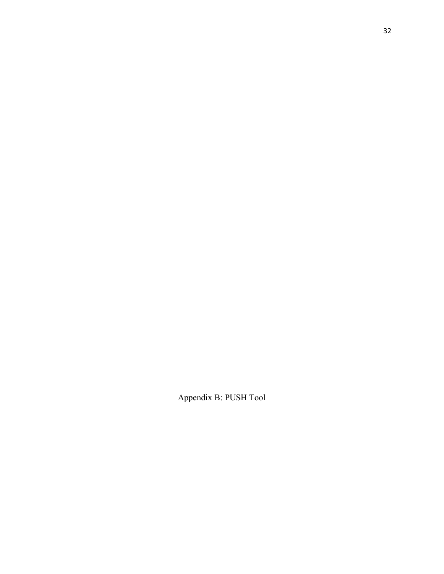Appendix B: PUSH Tool